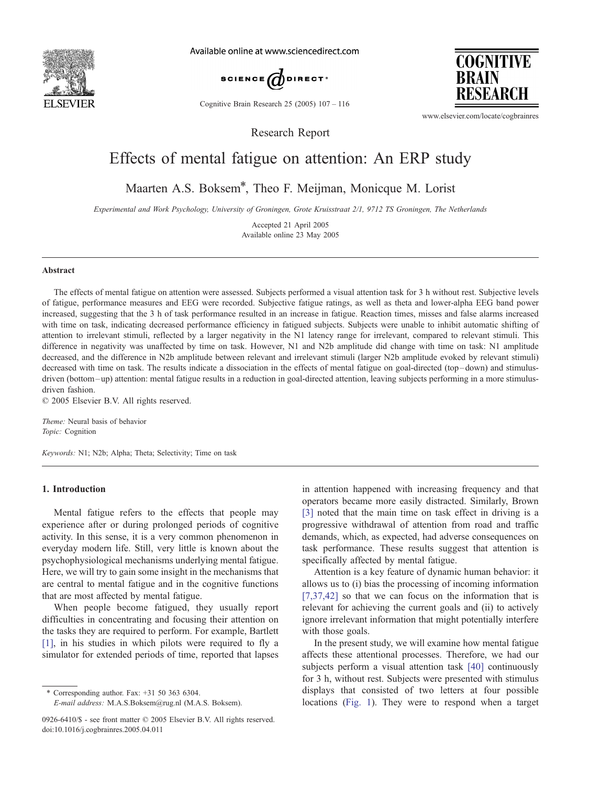

Available online at www.sciencedirect.com



Cognitive Brain Research 25 (2005) 107 – 116

**COGNITIVE BRAIN** RESEARCH

www.elsevier.com/locate/cogbrainres

# Effects of mental fatigue on attention: An ERP study

Research Report

Maarten A.S. Boksem\*, Theo F. Meijman, Monicque M. Lorist

Experimental and Work Psychology, University of Groningen, Grote Kruisstraat 2/1, 9712 TS Groningen, The Netherlands

Accepted 21 April 2005 Available online 23 May 2005

#### Abstract

The effects of mental fatigue on attention were assessed. Subjects performed a visual attention task for 3 h without rest. Subjective levels of fatigue, performance measures and EEG were recorded. Subjective fatigue ratings, as well as theta and lower-alpha EEG band power increased, suggesting that the 3 h of task performance resulted in an increase in fatigue. Reaction times, misses and false alarms increased with time on task, indicating decreased performance efficiency in fatigued subjects. Subjects were unable to inhibit automatic shifting of attention to irrelevant stimuli, reflected by a larger negativity in the N1 latency range for irrelevant, compared to relevant stimuli. This difference in negativity was unaffected by time on task. However, N1 and N2b amplitude did change with time on task: N1 amplitude decreased, and the difference in N2b amplitude between relevant and irrelevant stimuli (larger N2b amplitude evoked by relevant stimuli) decreased with time on task. The results indicate a dissociation in the effects of mental fatigue on goal-directed (top – down) and stimulusdriven (bottom-up) attention: mental fatigue results in a reduction in goal-directed attention, leaving subjects performing in a more stimulusdriven fashion.

 $© 2005 Elsevier B.V. All rights reserved.$ 

Theme: Neural basis of behavior Topic: Cognition

Keywords: N1; N2b; Alpha; Theta; Selectivity; Time on task

# 1. Introduction

Mental fatigue refers to the effects that people may experience after or during prolonged periods of cognitive activity. In this sense, it is a very common phenomenon in everyday modern life. Still, very little is known about the psychophysiological mechanisms underlying mental fatigue. Here, we will try to gain some insight in the mechanisms that are central to mental fatigue and in the cognitive functions that are most affected by mental fatigue.

When people become fatigued, they usually report difficulties in concentrating and focusing their attention on the tasks they are required to perform. For example, Bartlett [\[1\],](#page-8-0) in his studies in which pilots were required to fly a simulator for extended periods of time, reported that lapses

\* Corresponding author. Fax: +31 50 363 6304.

E-mail address: M.A.S.Boksem@rug.nl (M.A.S. Boksem).

in attention happened with increasing frequency and that operators became more easily distracted. Similarly, Brown [\[3\]](#page-8-0) noted that the main time on task effect in driving is a progressive withdrawal of attention from road and traffic demands, which, as expected, had adverse consequences on task performance. These results suggest that attention is specifically affected by mental fatigue.

Attention is a key feature of dynamic human behavior: it allows us to (i) bias the processing of incoming information [\[7,37,42\]](#page-8-0) so that we can focus on the information that is relevant for achieving the current goals and (ii) to actively ignore irrelevant information that might potentially interfere with those goals.

In the present study, we will examine how mental fatigue affects these attentional processes. Therefore, we had our subjects perform a visual attention task [\[40\]](#page-9-0) continuously for 3 h, without rest. Subjects were presented with stimulus displays that consisted of two letters at four possible locations ([Fig. 1\)](#page-1-0). They were to respond when a target

<sup>0926-6410/\$ -</sup> see front matter © 2005 Elsevier B.V. All rights reserved. doi:10.1016/j.cogbrainres.2005.04.011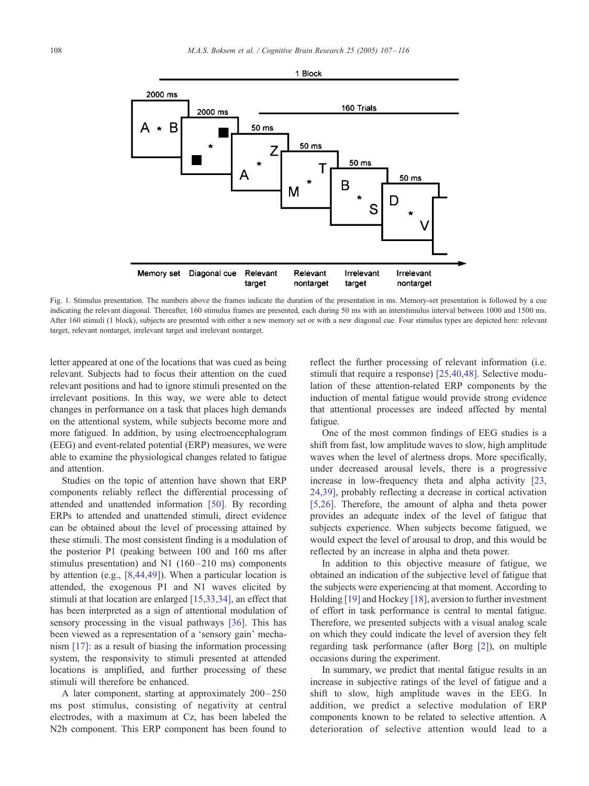<span id="page-1-0"></span>

Fig. 1. Stimulus presentation. The numbers above the frames indicate the duration of the presentation in ms. Memory-set presentation is followed by a cue indicating the relevant diagonal. Thereafter, 160 stimulus frames are presented, each during 50 ms with an interstimulus interval between 1000 and 1500 ms. After 160 stimuli (1 block), subjects are presented with either a new memory set or with a new diagonal cue. Four stimulus types are depicted here: relevant target, relevant nontarget, irrelevant target and irrelevant nontarget.

letter appeared at one of the locations that was cued as being relevant. Subjects had to focus their attention on the cued relevant positions and had to ignore stimuli presented on the irrelevant positions. In this way, we were able to detect changes in performance on a task that places high demands on the attentional system, while subjects become more and more fatigued. In addition, by using electroencephalogram (EEG) and event-related potential (ERP) measures, we were able to examine the physiological changes related to fatigue and attention.

Studies on the topic of attention have shown that ERP components reliably reflect the differential processing of attended and unattended information [\[50\].](#page-9-0) By recording ERPs to attended and unattended stimuli, direct evidence can be obtained about the level of processing attained by these stimuli. The most consistent finding is a modulation of the posterior P1 (peaking between 100 and 160 ms after stimulus presentation) and N1  $(160-210 \text{ ms})$  components by attention (e.g., [\[8,44,49\]\)](#page-8-0). When a particular location is attended, the exogenous P1 and N1 waves elicited by stimuli at that location are enlarged [\[15,33,34\],](#page-8-0) an effect that has been interpreted as a sign of attentional modulation of sensory processing in the visual pathways [\[36\].](#page-9-0) This has been viewed as a representation of a 'sensory gain' mechanism [\[17\]:](#page-8-0) as a result of biasing the information processing system, the responsivity to stimuli presented at attended locations is amplified, and further processing of these stimuli will therefore be enhanced.

A later component, starting at approximately  $200 - 250$ ms post stimulus, consisting of negativity at central electrodes, with a maximum at Cz, has been labeled the N2b component. This ERP component has been found to reflect the further processing of relevant information (i.e. stimuli that require a response) [\[25,40,48\].](#page-8-0) Selective modulation of these attention-related ERP components by the induction of mental fatigue would provide strong evidence that attentional processes are indeed affected by mental fatigue.

One of the most common findings of EEG studies is a shift from fast, low amplitude waves to slow, high amplitude waves when the level of alertness drops. More specifically, under decreased arousal levels, there is a progressive increase in low-frequency theta and alpha activity [\[23,](#page-8-0) 24,39], probably reflecting a decrease in cortical activation [\[5,26\].](#page-8-0) Therefore, the amount of alpha and theta power provides an adequate index of the level of fatigue that subjects experience. When subjects become fatigued, we would expect the level of arousal to drop, and this would be reflected by an increase in alpha and theta power.

In addition to this objective measure of fatigue, we obtained an indication of the subjective level of fatigue that the subjects were experiencing at that moment. According to Holding [\[19\]](#page-8-0) and Hockey [\[18\],](#page-8-0) aversion to further investment of effort in task performance is central to mental fatigue. Therefore, we presented subjects with a visual analog scale on which they could indicate the level of aversion they felt regarding task performance (after Borg [\[2\]\)](#page-8-0), on multiple occasions during the experiment.

In summary, we predict that mental fatigue results in an increase in subjective ratings of the level of fatigue and a shift to slow, high amplitude waves in the EEG. In addition, we predict a selective modulation of ERP components known to be related to selective attention. A deterioration of selective attention would lead to a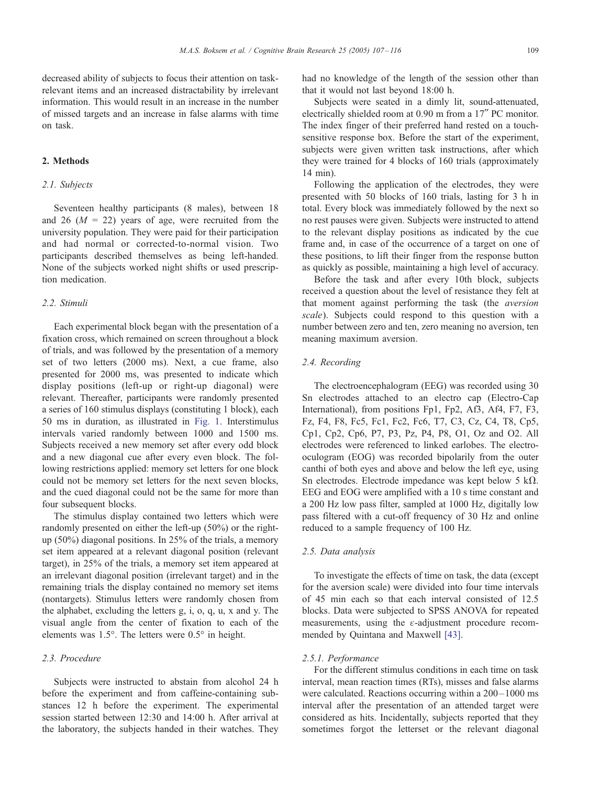decreased ability of subjects to focus their attention on taskrelevant items and an increased distractability by irrelevant information. This would result in an increase in the number of missed targets and an increase in false alarms with time on task.

# 2. Methods

# 2.1. Subjects

Seventeen healthy participants (8 males), between 18 and 26 ( $M = 22$ ) years of age, were recruited from the university population. They were paid for their participation and had normal or corrected-to-normal vision. Two participants described themselves as being left-handed. None of the subjects worked night shifts or used prescription medication.

### 2.2. Stimuli

Each experimental block began with the presentation of a fixation cross, which remained on screen throughout a block of trials, and was followed by the presentation of a memory set of two letters (2000 ms). Next, a cue frame, also presented for 2000 ms, was presented to indicate which display positions (left-up or right-up diagonal) were relevant. Thereafter, participants were randomly presented a series of 160 stimulus displays (constituting 1 block), each 50 ms in duration, as illustrated in [Fig. 1.](#page-1-0) Interstimulus intervals varied randomly between 1000 and 1500 ms. Subjects received a new memory set after every odd block and a new diagonal cue after every even block. The following restrictions applied: memory set letters for one block could not be memory set letters for the next seven blocks, and the cued diagonal could not be the same for more than four subsequent blocks.

The stimulus display contained two letters which were randomly presented on either the left-up (50%) or the rightup (50%) diagonal positions. In 25% of the trials, a memory set item appeared at a relevant diagonal position (relevant target), in 25% of the trials, a memory set item appeared at an irrelevant diagonal position (irrelevant target) and in the remaining trials the display contained no memory set items (nontargets). Stimulus letters were randomly chosen from the alphabet, excluding the letters g, i, o, q, u, x and y. The visual angle from the center of fixation to each of the elements was  $1.5^{\circ}$ . The letters were  $0.5^{\circ}$  in height.

# 2.3. Procedure

Subjects were instructed to abstain from alcohol 24 h before the experiment and from caffeine-containing substances 12 h before the experiment. The experimental session started between 12:30 and 14:00 h. After arrival at the laboratory, the subjects handed in their watches. They had no knowledge of the length of the session other than that it would not last beyond 18:00 h.

Subjects were seated in a dimly lit, sound-attenuated, electrically shielded room at 0.90 m from a 17" PC monitor. The index finger of their preferred hand rested on a touchsensitive response box. Before the start of the experiment, subjects were given written task instructions, after which they were trained for 4 blocks of 160 trials (approximately 14 min).

Following the application of the electrodes, they were presented with 50 blocks of 160 trials, lasting for 3 h in total. Every block was immediately followed by the next so no rest pauses were given. Subjects were instructed to attend to the relevant display positions as indicated by the cue frame and, in case of the occurrence of a target on one of these positions, to lift their finger from the response button as quickly as possible, maintaining a high level of accuracy.

Before the task and after every 10th block, subjects received a question about the level of resistance they felt at that moment against performing the task (the aversion scale). Subjects could respond to this question with a number between zero and ten, zero meaning no aversion, ten meaning maximum aversion.

# 2.4. Recording

The electroencephalogram (EEG) was recorded using 30 Sn electrodes attached to an electro cap (Electro-Cap International), from positions Fp1, Fp2, Af3, Af4, F7, F3, Fz, F4, F8, Fc5, Fc1, Fc2, Fc6, T7, C3, Cz, C4, T8, Cp5, Cp1, Cp2, Cp6, P7, P3, Pz, P4, P8, O1, Oz and O2. All electrodes were referenced to linked earlobes. The electrooculogram (EOG) was recorded bipolarily from the outer canthi of both eyes and above and below the left eye, using Sn electrodes. Electrode impedance was kept below 5 k $\Omega$ . EEG and EOG were amplified with a 10 s time constant and a 200 Hz low pass filter, sampled at 1000 Hz, digitally low pass filtered with a cut-off frequency of 30 Hz and online reduced to a sample frequency of 100 Hz.

### 2.5. Data analysis

To investigate the effects of time on task, the data (except for the aversion scale) were divided into four time intervals of 45 min each so that each interval consisted of 12.5 blocks. Data were subjected to SPSS ANOVA for repeated measurements, using the  $\varepsilon$ -adjustment procedure recommended by Quintana and Maxwell [\[43\].](#page-9-0)

### 2.5.1. Performance

For the different stimulus conditions in each time on task interval, mean reaction times (RTs), misses and false alarms were calculated. Reactions occurring within a  $200 - 1000$  ms interval after the presentation of an attended target were considered as hits. Incidentally, subjects reported that they sometimes forgot the letterset or the relevant diagonal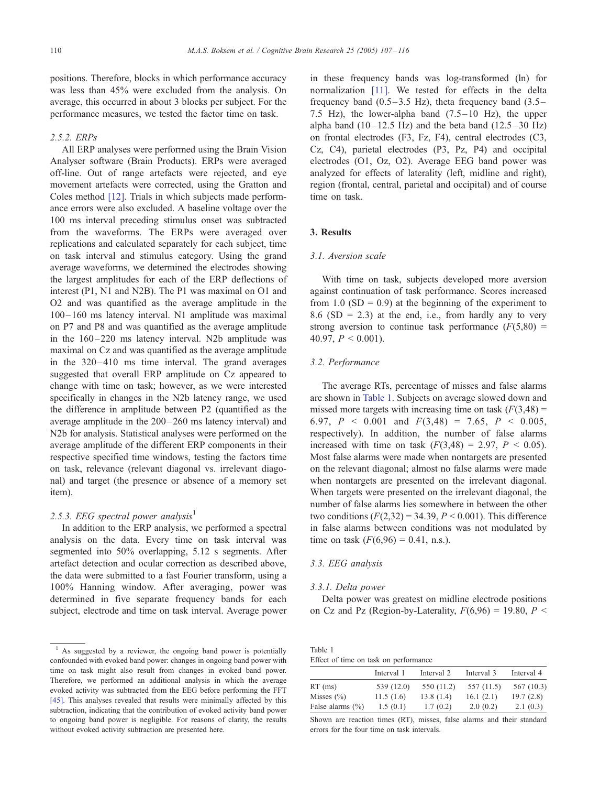positions. Therefore, blocks in which performance accuracy was less than 45% were excluded from the analysis. On average, this occurred in about 3 blocks per subject. For the performance measures, we tested the factor time on task.

### 2.5.2. ERPs

All ERP analyses were performed using the Brain Vision Analyser software (Brain Products). ERPs were averaged off-line. Out of range artefacts were rejected, and eye movement artefacts were corrected, using the Gratton and Coles method [\[12\].](#page-8-0) Trials in which subjects made performance errors were also excluded. A baseline voltage over the 100 ms interval preceding stimulus onset was subtracted from the waveforms. The ERPs were averaged over replications and calculated separately for each subject, time on task interval and stimulus category. Using the grand average waveforms, we determined the electrodes showing the largest amplitudes for each of the ERP deflections of interest (P1, N1 and N2B). The P1 was maximal on O1 and O2 and was quantified as the average amplitude in the 100 – 160 ms latency interval. N1 amplitude was maximal on P7 and P8 and was quantified as the average amplitude in the  $160 - 220$  ms latency interval. N2b amplitude was maximal on Cz and was quantified as the average amplitude in the 320 –410 ms time interval. The grand averages suggested that overall ERP amplitude on Cz appeared to change with time on task; however, as we were interested specifically in changes in the N2b latency range, we used the difference in amplitude between P2 (quantified as the average amplitude in the 200– 260 ms latency interval) and N2b for analysis. Statistical analyses were performed on the average amplitude of the different ERP components in their respective specified time windows, testing the factors time on task, relevance (relevant diagonal vs. irrelevant diagonal) and target (the presence or absence of a memory set item).

### 2.5.3. EEG spectral power analysis<sup>1</sup>

In addition to the ERP analysis, we performed a spectral analysis on the data. Every time on task interval was segmented into 50% overlapping, 5.12 s segments. After artefact detection and ocular correction as described above, the data were submitted to a fast Fourier transform, using a 100% Hanning window. After averaging, power was determined in five separate frequency bands for each subject, electrode and time on task interval. Average power

 $<sup>1</sup>$  As suggested by a reviewer, the ongoing band power is potentially</sup> confounded with evoked band power: changes in ongoing band power with time on task might also result from changes in evoked band power. Therefore, we performed an additional analysis in which the average evoked activity was subtracted from the EEG before performing the FFT [\[45\].](#page-9-0) This analyses revealed that results were minimally affected by this subtraction, indicating that the contribution of evoked activity band power to ongoing band power is negligible. For reasons of clarity, the results without evoked activity subtraction are presented here.

in these frequency bands was log-transformed (ln) for normalization [\[11\].](#page-8-0) We tested for effects in the delta frequency band  $(0.5-3.5 \text{ Hz})$ , theta frequency band  $(3.5-$ 7.5 Hz), the lower-alpha band  $(7.5-10$  Hz), the upper alpha band  $(10-12.5 \text{ Hz})$  and the beta band  $(12.5-30 \text{ Hz})$ on frontal electrodes (F3, Fz, F4), central electrodes (C3, Cz, C4), parietal electrodes (P3, Pz, P4) and occipital electrodes (O1, Oz, O2). Average EEG band power was analyzed for effects of laterality (left, midline and right), region (frontal, central, parietal and occipital) and of course time on task.

# 3. Results

### 3.1. Aversion scale

With time on task, subjects developed more aversion against continuation of task performance. Scores increased from 1.0  $(SD = 0.9)$  at the beginning of the experiment to 8.6 (SD = 2.3) at the end, i.e., from hardly any to very strong aversion to continue task performance  $(F(5,80)$  = 40.97,  $P < 0.001$ ).

# 3.2. Performance

The average RTs, percentage of misses and false alarms are shown in Table 1. Subjects on average slowed down and missed more targets with increasing time on task  $(F(3,48) =$ 6.97,  $P \le 0.001$  and  $F(3,48) = 7.65$ ,  $P \le 0.005$ , respectively). In addition, the number of false alarms increased with time on task  $(F(3,48) = 2.97, P \le 0.05)$ . Most false alarms were made when nontargets are presented on the relevant diagonal; almost no false alarms were made when nontargets are presented on the irrelevant diagonal. When targets were presented on the irrelevant diagonal, the number of false alarms lies somewhere in between the other two conditions  $(F(2,32) = 34.39, P \le 0.001)$ . This difference in false alarms between conditions was not modulated by time on task  $(F(6,96) = 0.41, n.s.).$ 

# 3.3. EEG analysis

### 3.3.1. Delta power

Delta power was greatest on midline electrode positions on Cz and Pz (Region-by-Laterality,  $F(6,96) = 19,80$ ,  $P \leq$ 

| Table 1 |                                       |
|---------|---------------------------------------|
|         | Effect of time on task on performance |

|                      | Interval 1 | Interval 2 | Interval 3 | Interval 4 |
|----------------------|------------|------------|------------|------------|
| $RT$ (ms)            | 539 (12.0) | 550 (11.2) | 557 (11.5) | 567 (10.3) |
| Misses $(\% )$       | 11.5(1.6)  | 13.8(1.4)  | 16.1(2.1)  | 19.7(2.8)  |
| False alarms $(\% )$ | 1.5(0.1)   | 1.7(0.2)   | 2.0(0.2)   | 2.1(0.3)   |

Shown are reaction times (RT), misses, false alarms and their standard errors for the four time on task intervals.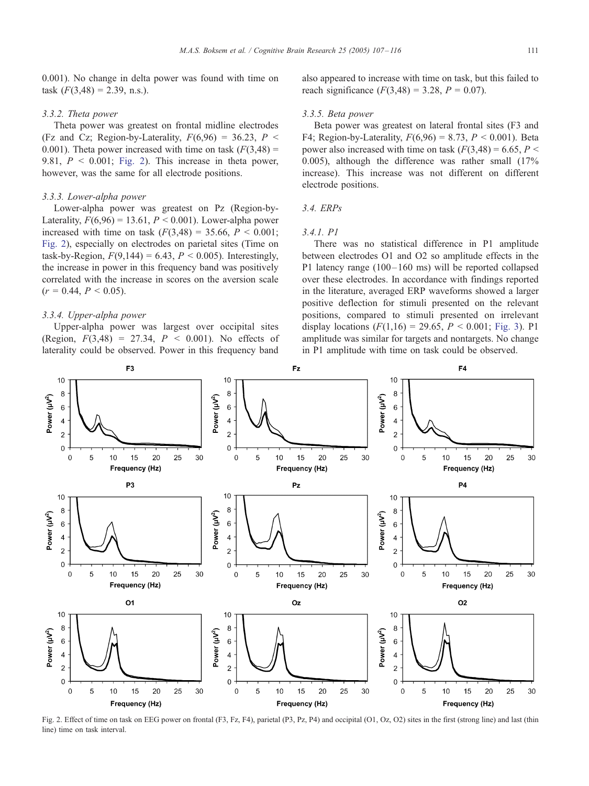0.001). No change in delta power was found with time on task  $(F(3,48) = 2.39, n.s.).$ 

### 3.3.2. Theta power

Theta power was greatest on frontal midline electrodes (Fz and Cz; Region-by-Laterality,  $F(6,96) = 36.23$ ,  $P \leq$ 0.001). Theta power increased with time on task  $(F(3,48) =$ 9.81,  $P < 0.001$ ; Fig. 2). This increase in theta power, however, was the same for all electrode positions.

# 3.3.3. Lower-alpha power

Lower-alpha power was greatest on Pz (Region-by-Laterality,  $F(6,96) = 13.61$ ,  $P < 0.001$ ). Lower-alpha power increased with time on task  $(F(3, 48) = 35.66, P < 0.001;$ Fig. 2), especially on electrodes on parietal sites (Time on task-by-Region,  $F(9,144) = 6.43$ ,  $P < 0.005$ ). Interestingly, the increase in power in this frequency band was positively correlated with the increase in scores on the aversion scale  $(r = 0.44, P \le 0.05)$ .

### 3.3.4. Upper-alpha power

Upper-alpha power was largest over occipital sites (Region,  $F(3,48) = 27.34$ ,  $P < 0.001$ ). No effects of laterality could be observed. Power in this frequency band

also appeared to increase with time on task, but this failed to reach significance  $(F(3, 48) = 3.28, P = 0.07)$ .

### 3.3.5. Beta power

Beta power was greatest on lateral frontal sites (F3 and F4; Region-by-Laterality,  $F(6,96) = 8.73$ ,  $P < 0.001$ ). Beta power also increased with time on task  $(F(3, 48) = 6.65, P \le$ 0.005), although the difference was rather small (17% increase). This increase was not different on different electrode positions.

# 3.4. ERPs

### 3.4.1. P1

There was no statistical difference in P1 amplitude between electrodes O1 and O2 so amplitude effects in the P1 latency range  $(100 - 160 \text{ ms})$  will be reported collapsed over these electrodes. In accordance with findings reported in the literature, averaged ERP waveforms showed a larger positive deflection for stimuli presented on the relevant positions, compared to stimuli presented on irrelevant display locations  $(F(1,16) = 29.65, P < 0.001;$  [Fig. 3\)](#page-5-0). P1 amplitude was similar for targets and nontargets. No change in P1 amplitude with time on task could be observed.



Fig. 2. Effect of time on task on EEG power on frontal (F3, Fz, F4), parietal (P3, Pz, P4) and occipital (O1, Oz, O2) sites in the first (strong line) and last (thin line) time on task interval.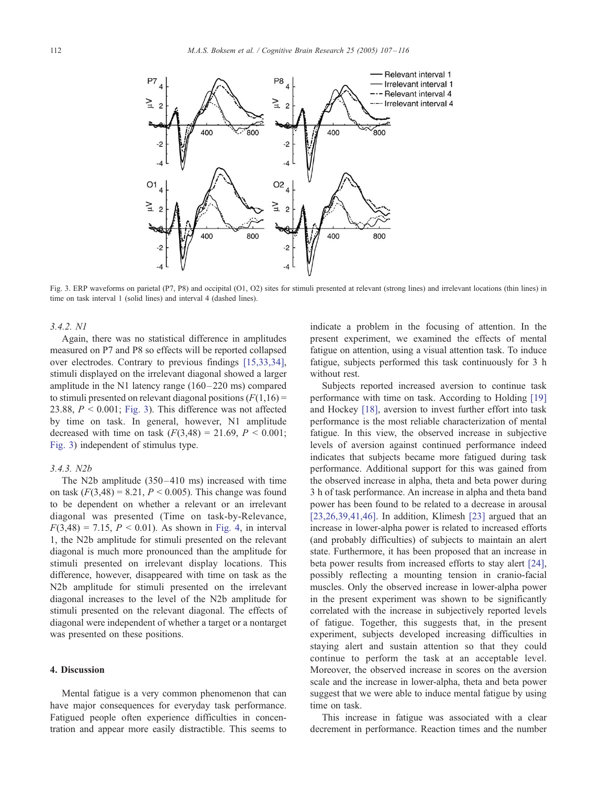<span id="page-5-0"></span>

Fig. 3. ERP waveforms on parietal (P7, P8) and occipital (O1, O2) sites for stimuli presented at relevant (strong lines) and irrelevant locations (thin lines) in time on task interval 1 (solid lines) and interval 4 (dashed lines).

## 3.4.2. N1

Again, there was no statistical difference in amplitudes measured on P7 and P8 so effects will be reported collapsed over electrodes. Contrary to previous findings [\[15,33,34\],](#page-8-0) stimuli displayed on the irrelevant diagonal showed a larger amplitude in the N1 latency range  $(160-220 \text{ ms})$  compared to stimuli presented on relevant diagonal positions  $(F(1,16) =$ 23.88,  $P < 0.001$ ; Fig. 3). This difference was not affected by time on task. In general, however, N1 amplitude decreased with time on task  $(F(3,48) = 21.69, P \le 0.001;$ Fig. 3) independent of stimulus type.

### 3.4.3. N2b

The N2b amplitude (350–410 ms) increased with time on task  $(F(3,48) = 8.21, P \le 0.005)$ . This change was found to be dependent on whether a relevant or an irrelevant diagonal was presented (Time on task-by-Relevance,  $F(3,48) = 7.15, P < 0.01$ ). As shown in [Fig. 4,](#page-6-0) in interval 1, the N2b amplitude for stimuli presented on the relevant diagonal is much more pronounced than the amplitude for stimuli presented on irrelevant display locations. This difference, however, disappeared with time on task as the N2b amplitude for stimuli presented on the irrelevant diagonal increases to the level of the N2b amplitude for stimuli presented on the relevant diagonal. The effects of diagonal were independent of whether a target or a nontarget was presented on these positions.

# 4. Discussion

Mental fatigue is a very common phenomenon that can have major consequences for everyday task performance. Fatigued people often experience difficulties in concentration and appear more easily distractible. This seems to indicate a problem in the focusing of attention. In the present experiment, we examined the effects of mental fatigue on attention, using a visual attention task. To induce fatigue, subjects performed this task continuously for 3 h without rest.

Subjects reported increased aversion to continue task performance with time on task. According to Holding [\[19\]](#page-8-0) and Hockey [\[18\],](#page-8-0) aversion to invest further effort into task performance is the most reliable characterization of mental fatigue. In this view, the observed increase in subjective levels of aversion against continued performance indeed indicates that subjects became more fatigued during task performance. Additional support for this was gained from the observed increase in alpha, theta and beta power during 3 h of task performance. An increase in alpha and theta band power has been found to be related to a decrease in arousal [\[23,26,39,41,46\].](#page-8-0) In addition, Klimesh [\[23\]](#page-8-0) argued that an increase in lower-alpha power is related to increased efforts (and probably difficulties) of subjects to maintain an alert state. Furthermore, it has been proposed that an increase in beta power results from increased efforts to stay alert [\[24\],](#page-8-0) possibly reflecting a mounting tension in cranio-facial muscles. Only the observed increase in lower-alpha power in the present experiment was shown to be significantly correlated with the increase in subjectively reported levels of fatigue. Together, this suggests that, in the present experiment, subjects developed increasing difficulties in staying alert and sustain attention so that they could continue to perform the task at an acceptable level. Moreover, the observed increase in scores on the aversion scale and the increase in lower-alpha, theta and beta power suggest that we were able to induce mental fatigue by using time on task.

This increase in fatigue was associated with a clear decrement in performance. Reaction times and the number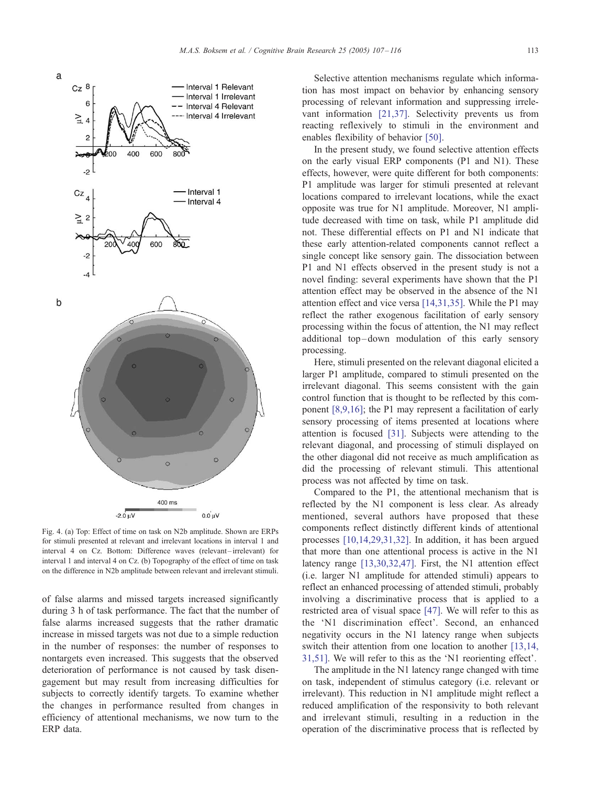<span id="page-6-0"></span>

Fig. 4. (a) Top: Effect of time on task on N2b amplitude. Shown are ERPs for stimuli presented at relevant and irrelevant locations in interval 1 and interval 4 on Cz. Bottom: Difference waves (relevant-irrelevant) for interval 1 and interval 4 on Cz. (b) Topography of the effect of time on task on the difference in N2b amplitude between relevant and irrelevant stimuli.

of false alarms and missed targets increased significantly during 3 h of task performance. The fact that the number of false alarms increased suggests that the rather dramatic increase in missed targets was not due to a simple reduction in the number of responses: the number of responses to nontargets even increased. This suggests that the observed deterioration of performance is not caused by task disengagement but may result from increasing difficulties for subjects to correctly identify targets. To examine whether the changes in performance resulted from changes in efficiency of attentional mechanisms, we now turn to the ERP data.

Selective attention mechanisms regulate which information has most impact on behavior by enhancing sensory processing of relevant information and suppressing irrelevant information [\[21,37\].](#page-8-0) Selectivity prevents us from reacting reflexively to stimuli in the environment and enables flexibility of behavior [\[50\].](#page-9-0)

In the present study, we found selective attention effects on the early visual ERP components (P1 and N1). These effects, however, were quite different for both components: P1 amplitude was larger for stimuli presented at relevant locations compared to irrelevant locations, while the exact opposite was true for N1 amplitude. Moreover, N1 amplitude decreased with time on task, while P1 amplitude did not. These differential effects on P1 and N1 indicate that these early attention-related components cannot reflect a single concept like sensory gain. The dissociation between P1 and N1 effects observed in the present study is not a novel finding: several experiments have shown that the P1 attention effect may be observed in the absence of the N1 attention effect and vice versa [\[14,31,35\].](#page-8-0) While the P1 may reflect the rather exogenous facilitation of early sensory processing within the focus of attention, the N1 may reflect additional top-down modulation of this early sensory processing.

Here, stimuli presented on the relevant diagonal elicited a larger P1 amplitude, compared to stimuli presented on the irrelevant diagonal. This seems consistent with the gain control function that is thought to be reflected by this component [\[8,9,16\];](#page-8-0) the P1 may represent a facilitation of early sensory processing of items presented at locations where attention is focused [\[31\].](#page-8-0) Subjects were attending to the relevant diagonal, and processing of stimuli displayed on the other diagonal did not receive as much amplification as did the processing of relevant stimuli. This attentional process was not affected by time on task.

Compared to the P1, the attentional mechanism that is reflected by the N1 component is less clear. As already mentioned, several authors have proposed that these components reflect distinctly different kinds of attentional processes [\[10,14,29,31,32\].](#page-8-0) In addition, it has been argued that more than one attentional process is active in the N1 latency range [\[13,30,32,47\].](#page-8-0) First, the N1 attention effect (i.e. larger N1 amplitude for attended stimuli) appears to reflect an enhanced processing of attended stimuli, probably involving a discriminative process that is applied to a restricted area of visual space [\[47\].](#page-9-0) We will refer to this as the 'N1 discrimination effect'. Second, an enhanced negativity occurs in the N1 latency range when subjects switch their attention from one location to another [\[13,14,](#page-8-0)]  $31,51$ ]. We will refer to this as the 'N1 reorienting effect'.

The amplitude in the N1 latency range changed with time on task, independent of stimulus category (i.e. relevant or irrelevant). This reduction in N1 amplitude might reflect a reduced amplification of the responsivity to both relevant and irrelevant stimuli, resulting in a reduction in the operation of the discriminative process that is reflected by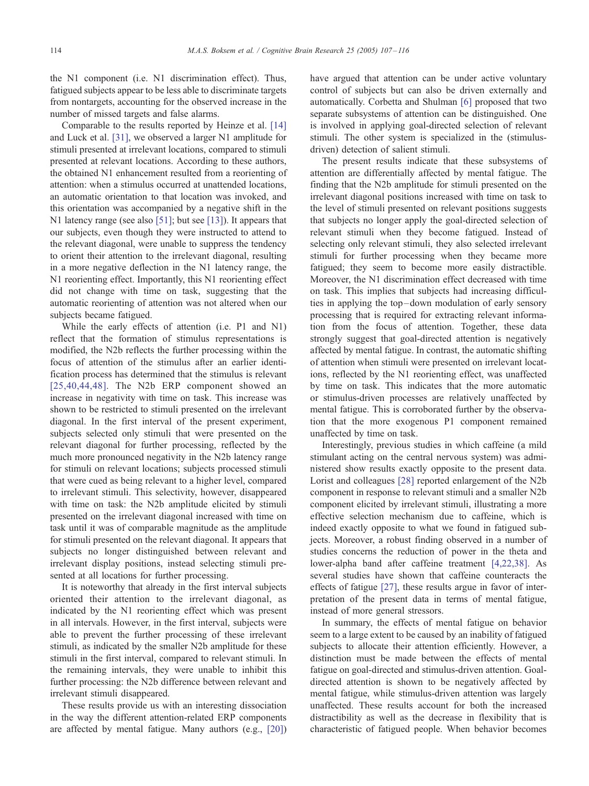the N1 component (i.e. N1 discrimination effect). Thus, fatigued subjects appear to be less able to discriminate targets from nontargets, accounting for the observed increase in the number of missed targets and false alarms.

Comparable to the results reported by Heinze et al. [\[14\]](#page-8-0) and Luck et al. [\[31\],](#page-8-0) we observed a larger N1 amplitude for stimuli presented at irrelevant locations, compared to stimuli presented at relevant locations. According to these authors, the obtained N1 enhancement resulted from a reorienting of attention: when a stimulus occurred at unattended locations, an automatic orientation to that location was invoked, and this orientation was accompanied by a negative shift in the N1 latency range (see also [\[51\];](#page-9-0) but see [\[13\]\)](#page-8-0). It appears that our subjects, even though they were instructed to attend to the relevant diagonal, were unable to suppress the tendency to orient their attention to the irrelevant diagonal, resulting in a more negative deflection in the N1 latency range, the N1 reorienting effect. Importantly, this N1 reorienting effect did not change with time on task, suggesting that the automatic reorienting of attention was not altered when our subjects became fatigued.

While the early effects of attention (i.e. P1 and N1) reflect that the formation of stimulus representations is modified, the N2b reflects the further processing within the focus of attention of the stimulus after an earlier identification process has determined that the stimulus is relevant [\[25,40,44,48\].](#page-8-0) The N2b ERP component showed an increase in negativity with time on task. This increase was shown to be restricted to stimuli presented on the irrelevant diagonal. In the first interval of the present experiment, subjects selected only stimuli that were presented on the relevant diagonal for further processing, reflected by the much more pronounced negativity in the N2b latency range for stimuli on relevant locations; subjects processed stimuli that were cued as being relevant to a higher level, compared to irrelevant stimuli. This selectivity, however, disappeared with time on task: the N2b amplitude elicited by stimuli presented on the irrelevant diagonal increased with time on task until it was of comparable magnitude as the amplitude for stimuli presented on the relevant diagonal. It appears that subjects no longer distinguished between relevant and irrelevant display positions, instead selecting stimuli presented at all locations for further processing.

It is noteworthy that already in the first interval subjects oriented their attention to the irrelevant diagonal, as indicated by the N1 reorienting effect which was present in all intervals. However, in the first interval, subjects were able to prevent the further processing of these irrelevant stimuli, as indicated by the smaller N2b amplitude for these stimuli in the first interval, compared to relevant stimuli. In the remaining intervals, they were unable to inhibit this further processing: the N2b difference between relevant and irrelevant stimuli disappeared.

These results provide us with an interesting dissociation in the way the different attention-related ERP components are affected by mental fatigue. Many authors (e.g., [\[20\]\)](#page-8-0) have argued that attention can be under active voluntary control of subjects but can also be driven externally and automatically. Corbetta and Shulman [\[6\]](#page-8-0) proposed that two separate subsystems of attention can be distinguished. One is involved in applying goal-directed selection of relevant stimuli. The other system is specialized in the (stimulusdriven) detection of salient stimuli.

The present results indicate that these subsystems of attention are differentially affected by mental fatigue. The finding that the N2b amplitude for stimuli presented on the irrelevant diagonal positions increased with time on task to the level of stimuli presented on relevant positions suggests that subjects no longer apply the goal-directed selection of relevant stimuli when they become fatigued. Instead of selecting only relevant stimuli, they also selected irrelevant stimuli for further processing when they became more fatigued; they seem to become more easily distractible. Moreover, the N1 discrimination effect decreased with time on task. This implies that subjects had increasing difficulties in applying the top –down modulation of early sensory processing that is required for extracting relevant information from the focus of attention. Together, these data strongly suggest that goal-directed attention is negatively affected by mental fatigue. In contrast, the automatic shifting of attention when stimuli were presented on irrelevant locations, reflected by the N1 reorienting effect, was unaffected by time on task. This indicates that the more automatic or stimulus-driven processes are relatively unaffected by mental fatigue. This is corroborated further by the observation that the more exogenous P1 component remained unaffected by time on task.

Interestingly, previous studies in which caffeine (a mild stimulant acting on the central nervous system) was administered show results exactly opposite to the present data. Lorist and colleagues [\[28\]](#page-8-0) reported enlargement of the N2b component in response to relevant stimuli and a smaller N2b component elicited by irrelevant stimuli, illustrating a more effective selection mechanism due to caffeine, which is indeed exactly opposite to what we found in fatigued subjects. Moreover, a robust finding observed in a number of studies concerns the reduction of power in the theta and lower-alpha band after caffeine treatment [\[4,22,38\].](#page-8-0) As several studies have shown that caffeine counteracts the effects of fatigue [\[27\],](#page-8-0) these results argue in favor of interpretation of the present data in terms of mental fatigue, instead of more general stressors.

In summary, the effects of mental fatigue on behavior seem to a large extent to be caused by an inability of fatigued subjects to allocate their attention efficiently. However, a distinction must be made between the effects of mental fatigue on goal-directed and stimulus-driven attention. Goaldirected attention is shown to be negatively affected by mental fatigue, while stimulus-driven attention was largely unaffected. These results account for both the increased distractibility as well as the decrease in flexibility that is characteristic of fatigued people. When behavior becomes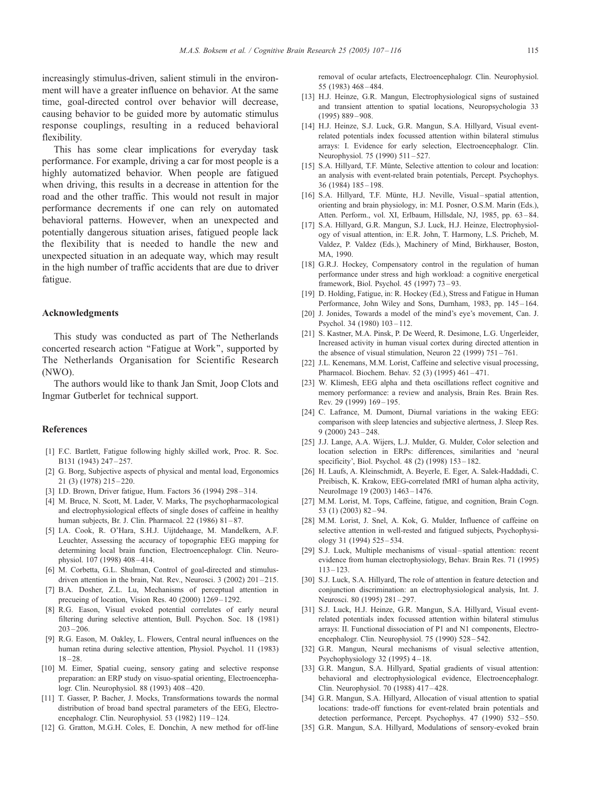<span id="page-8-0"></span>increasingly stimulus-driven, salient stimuli in the environment will have a greater influence on behavior. At the same time, goal-directed control over behavior will decrease, causing behavior to be guided more by automatic stimulus response couplings, resulting in a reduced behavioral flexibility.

This has some clear implications for everyday task performance. For example, driving a car for most people is a highly automatized behavior. When people are fatigued when driving, this results in a decrease in attention for the road and the other traffic. This would not result in major performance decrements if one can rely on automated behavioral patterns. However, when an unexpected and potentially dangerous situation arises, fatigued people lack the flexibility that is needed to handle the new and unexpected situation in an adequate way, which may result in the high number of traffic accidents that are due to driver fatigue.

#### Acknowledgments

This study was conducted as part of The Netherlands concerted research action ''Fatigue at Work'', supported by The Netherlands Organisation for Scientific Research (NWO).

The authors would like to thank Jan Smit, Joop Clots and Ingmar Gutberlet for technical support.

# References

- [1] F.C. Bartlett, Fatigue following highly skilled work, Proc. R. Soc. B131 (1943) 247 – 257.
- [2] G. Borg, Subjective aspects of physical and mental load, Ergonomics 21 (3) (1978) 215 – 220.
- [3] I.D. Brown, Driver fatigue, Hum. Factors 36 (1994) 298-314.
- [4] M. Bruce, N. Scott, M. Lader, V. Marks, The psychopharmacological and electrophysiological effects of single doses of caffeine in healthy human subjects, Br. J. Clin. Pharmacol. 22 (1986) 81-87.
- [5] I.A. Cook, R. O'Hara, S.H.J. Uijtdehaage, M. Mandelkern, A.F. Leuchter, Assessing the accuracy of topographic EEG mapping for determining local brain function, Electroencephalogr. Clin. Neurophysiol. 107 (1998) 408 – 414.
- [6] M. Corbetta, G.L. Shulman, Control of goal-directed and stimulusdriven attention in the brain, Nat. Rev., Neurosci. 3 (2002) 201-215.
- [7] B.A. Dosher, Z.L. Lu, Mechanisms of perceptual attention in precueing of location, Vision Res. 40 (2000) 1269 – 1292.
- [8] R.G. Eason, Visual evoked potential correlates of early neural filtering during selective attention, Bull. Psychon. Soc. 18 (1981)  $203 - 206$ .
- [9] R.G. Eason, M. Oakley, L. Flowers, Central neural influences on the human retina during selective attention, Physiol. Psychol. 11 (1983)  $18 - 28$
- [10] M. Eimer, Spatial cueing, sensory gating and selective response preparation: an ERP study on visuo-spatial orienting, Electroencephalogr. Clin. Neurophysiol. 88 (1993) 408 – 420.
- [11] T. Gasser, P. Bacher, J. Mocks, Transformations towards the normal distribution of broad band spectral parameters of the EEG, Electroencephalogr. Clin. Neurophysiol. 53 (1982) 119-124.
- [12] G. Gratton, M.G.H. Coles, E. Donchin, A new method for off-line

removal of ocular artefacts, Electroencephalogr. Clin. Neurophysiol. 55 (1983) 468 – 484.

- [13] H.J. Heinze, G.R. Mangun, Electrophysiological signs of sustained and transient attention to spatial locations, Neuropsychologia 33 (1995) 889 – 908.
- [14] H.J. Heinze, S.J. Luck, G.R. Mangun, S.A. Hillyard, Visual eventrelated potentials index focussed attention within bilateral stimulus arrays: I. Evidence for early selection, Electroencephalogr. Clin. Neurophysiol. 75 (1990) 511-527.
- [15] S.A. Hillyard, T.F. Münte, Selective attention to colour and location: an analysis with event-related brain potentials, Percept. Psychophys. 36 (1984) 185 – 198.
- [16] S.A. Hillyard, T.F. Münte, H.J. Neville, Visual-spatial attention, orienting and brain physiology, in: M.I. Posner, O.S.M. Marin (Eds.), Atten. Perform., vol. XI, Erlbaum, Hillsdale, NJ, 1985, pp. 63-84.
- [17] S.A. Hillyard, G.R. Mangun, S.J. Luck, H.J. Heinze, Electrophysiology of visual attention, in: E.R. John, T. Harmony, L.S. Pricheb, M. Valdez, P. Valdez (Eds.), Machinery of Mind, Birkhauser, Boston, MA, 1990.
- [18] G.R.J. Hockey, Compensatory control in the regulation of human performance under stress and high workload: a cognitive energetical framework, Biol. Psychol. 45 (1997) 73 – 93.
- [19] D. Holding, Fatigue, in: R. Hockey (Ed.), Stress and Fatigue in Human Performance, John Wiley and Sons, Durnham, 1983, pp. 145–164.
- [20] J. Jonides, Towards a model of the mind's eye's movement, Can. J. Psychol. 34 (1980) 103-112.
- [21] S. Kastner, M.A. Pinsk, P. De Weerd, R. Desimone, L.G. Ungerleider, Increased activity in human visual cortex during directed attention in the absence of visual stimulation, Neuron  $22$  (1999)  $751-761$ .
- [22] J.L. Kenemans, M.M. Lorist, Caffeine and selective visual processing, Pharmacol. Biochem. Behav. 52 (3) (1995) 461 – 471.
- [23] W. Klimesh, EEG alpha and theta oscillations reflect cognitive and memory performance: a review and analysis, Brain Res. Brain Res. Rev. 29 (1999) 169 – 195.
- [24] C. Lafrance, M. Dumont, Diurnal variations in the waking EEG: comparison with sleep latencies and subjective alertness, J. Sleep Res. 9 (2000) 243 – 248.
- [25] J.J. Lange, A.A. Wijers, L.J. Mulder, G. Mulder, Color selection and location selection in ERPs: differences, similarities and 'neural specificity'. Biol. Psychol. 48 (2) (1998) 153 – 182.
- [26] H. Laufs, A. Kleinschmidt, A. Beyerle, E. Eger, A. Salek-Haddadi, C. Preibisch, K. Krakow, EEG-correlated fMRI of human alpha activity, NeuroImage 19 (2003) 1463 – 1476.
- [27] M.M. Lorist, M. Tops, Caffeine, fatigue, and cognition, Brain Cogn. 53 (1) (2003) 82 – 94.
- [28] M.M. Lorist, J. Snel, A. Kok, G. Mulder, Influence of caffeine on selective attention in well-rested and fatigued subjects, Psychophysiology 31 (1994) 525 – 534.
- [29] S.J. Luck, Multiple mechanisms of visual-spatial attention: recent evidence from human electrophysiology, Behav. Brain Res. 71 (1995)  $113 - 123$ .
- [30] S.J. Luck, S.A. Hillyard, The role of attention in feature detection and conjunction discrimination: an electrophysiological analysis, Int. J. Neurosci. 80 (1995) 281-297.
- [31] S.J. Luck, H.J. Heinze, G.R. Mangun, S.A. Hillyard, Visual eventrelated potentials index focussed attention within bilateral stimulus arrays: II. Functional dissociation of P1 and N1 components, Electroencephalogr. Clin. Neurophysiol. 75 (1990) 528 – 542.
- [32] G.R. Mangun, Neural mechanisms of visual selective attention, Psychophysiology 32 (1995) 4 – 18.
- [33] G.R. Mangun, S.A. Hillyard, Spatial gradients of visual attention: behavioral and electrophysiological evidence, Electroencephalogr. Clin. Neurophysiol. 70 (1988) 417 – 428.
- [34] G.R. Mangun, S.A. Hillyard, Allocation of visual attention to spatial locations: trade-off functions for event-related brain potentials and detection performance, Percept. Psychophys. 47 (1990) 532-550.
- [35] G.R. Mangun, S.A. Hillyard, Modulations of sensory-evoked brain